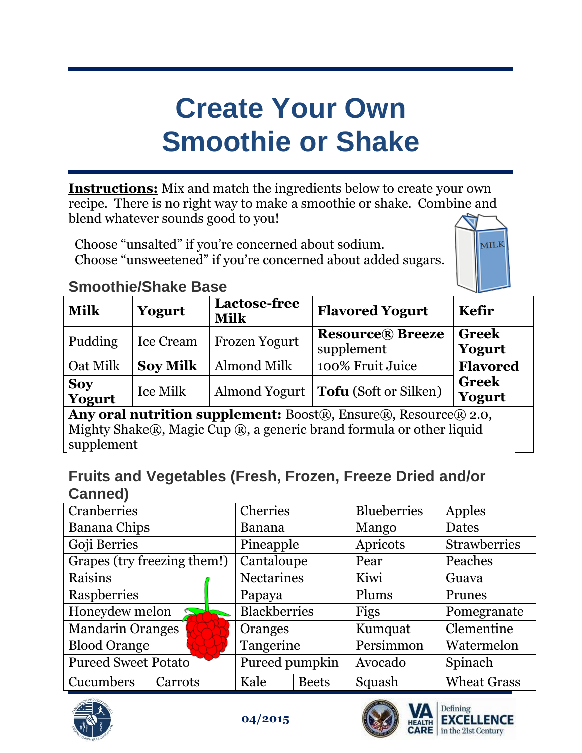## **Create Your Own Smoothie or Shake**

**Instructions:** Mix and match the ingredients below to create your own recipe. There is no right way to make a smoothie or shake. Combine and blend whatever sounds good to you!

Choose "unsalted" if you're concerned about sodium. Choose "unsweetened" if you're concerned about added sugars.



## **Smoothie/Shake Base**

| <b>Milk</b>          | Yogurt          | <b>Lactose-free</b><br><b>Milk</b> | <b>Flavored Yogurt</b>                 | <b>Kefir</b>           |
|----------------------|-----------------|------------------------------------|----------------------------------------|------------------------|
| Pudding              | Ice Cream       | <b>Frozen Yogurt</b>               | <b>Resource</b> ® Breeze<br>supplement | <b>Greek</b><br>Yogurt |
| Oat Milk             | <b>Soy Milk</b> | Almond Milk                        | 100% Fruit Juice                       | <b>Flavored</b>        |
| <b>Soy</b><br>Yogurt | Ice Milk        |                                    | Almond Yogurt   Tofu (Soft or Silken)  | <b>Greek</b><br>Yogurt |

**Any oral nutrition supplement:** Boost®, Ensure®, Resource® 2.0, Mighty Shake®, Magic Cup ®, a generic brand formula or other liquid supplement

## **Fruits and Vegetables (Fresh, Frozen, Freeze Dried and/or Canned)**

| Cranberries                 |         |                     | Cherries       |              | <b>Blueberries</b> | Apples              |
|-----------------------------|---------|---------------------|----------------|--------------|--------------------|---------------------|
| <b>Banana Chips</b>         |         |                     | <b>Banana</b>  |              | Mango              | <b>Dates</b>        |
| Goji Berries                |         |                     | Pineapple      |              | Apricots           | <b>Strawberries</b> |
| Grapes (try freezing them!) |         |                     | Cantaloupe     |              | Pear               | Peaches             |
| Raisins                     |         | <b>Nectarines</b>   |                | Kiwi         | Guava              |                     |
| Raspberries                 |         | Papaya              |                | Plums        | Prunes             |                     |
| Honeydew melon              |         | <b>Blackberries</b> |                | Figs         | Pomegranate        |                     |
| Mandarin Oranges            |         |                     | Oranges        |              | Kumquat            | Clementine          |
| <b>Blood Orange</b>         |         |                     | Tangerine      |              | Persimmon          | Watermelon          |
| <b>Pureed Sweet Potato</b>  |         |                     | Pureed pumpkin |              | Avocado            | Spinach             |
| Cucumbers                   | Carrots |                     | Kale           | <b>Beets</b> | Squash             | <b>Wheat Grass</b>  |